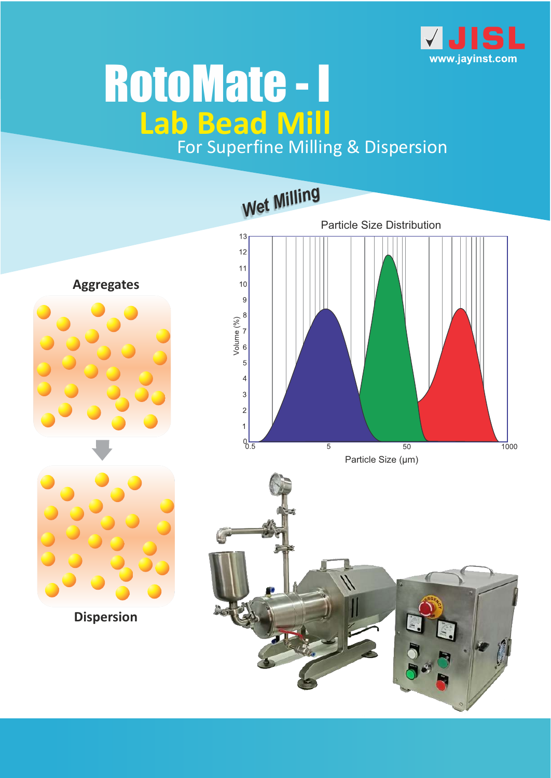

# **Lab Bead Mill** For Superfine Milling & Dispersion RotoMate - I

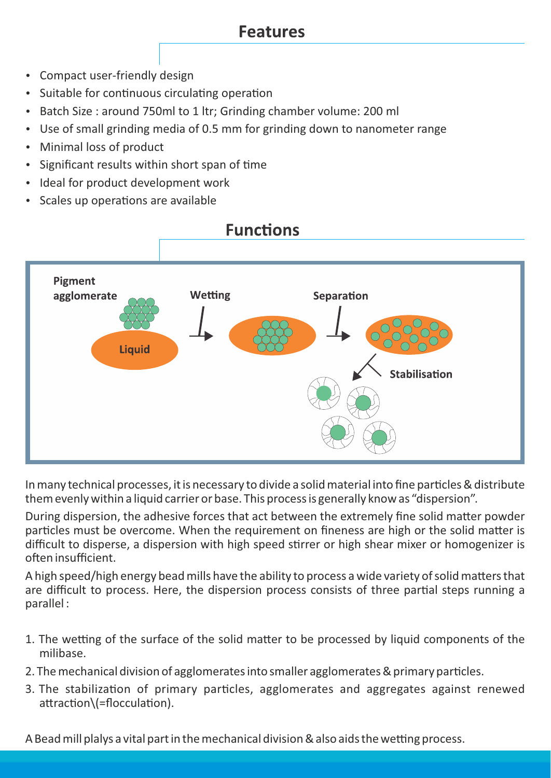#### **Features**

- Compact user-friendly design
- Suitable for continuous circulating operation
- Batch Size : around 750ml to 1 ltr; Grinding chamber volume: 200 ml
- Use of small grinding media of 0.5 mm for grinding down to nanometer range
- Minimal loss of product
- Significant results within short span of time
- Ideal for product development work
- Scales up operations are available



In many technical processes, it is necessary to divide a solid material into fine particles & distribute them evenly within a liquid carrier or base. This process is generally know as "dispersion".

During dispersion, the adhesive forces that act between the extremely fine solid matter powder particles must be overcome. When the requirement on fineness are high or the solid matter is difficult to disperse, a dispersion with high speed stirrer or high shear mixer or homogenizer is often insufficient.

A high speed/high energy bead mills have the ability to process a wide variety of solid matters that are difficult to process. Here, the dispersion process consists of three partial steps running a parallel :

- 1. The wetting of the surface of the solid matter to be processed by liquid components of the milibase.
- 2. The mechanical division of agglomerates into smaller agglomerates & primary particles.
- 3. The stabilization of primary particles, agglomerates and aggregates against renewed attraction\(=flocculation).

A Bead mill plalys a vital part in the mechanical division & also aids the wetting process.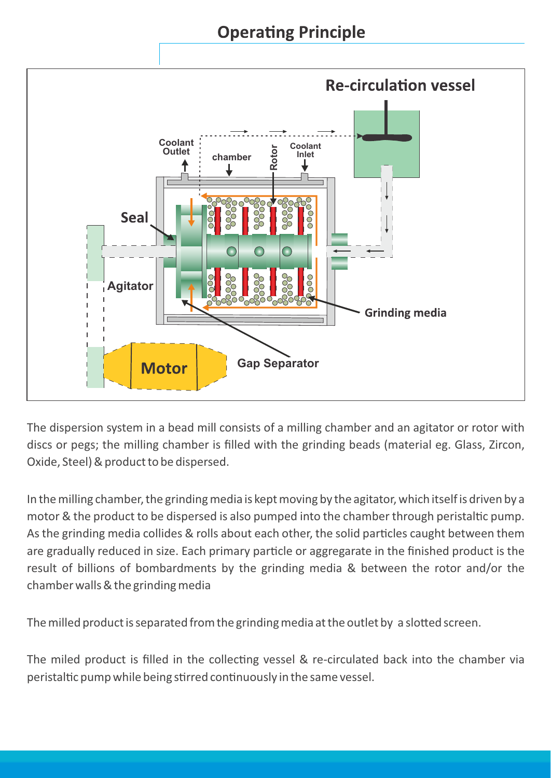**Operating Principle** 



The dispersion system in a bead mill consists of a milling chamber and an agitator or rotor with discs or pegs; the milling chamber is filled with the grinding beads (material eg. Glass, Zircon, Oxide, Steel) & product to be dispersed.

In the milling chamber, the grinding media is kept moving by the agitator, which itself is driven by a motor & the product to be dispersed is also pumped into the chamber through peristaltic pump. As the grinding media collides & rolls about each other, the solid particles caught between them are gradually reduced in size. Each primary particle or aggregarate in the finished product is the result of billions of bombardments by the grinding media & between the rotor and/or the chamber walls & the grinding media

The milled product is separated from the grinding media at the outlet by a slotted screen.

The miled product is filled in the collecting vessel & re-circulated back into the chamber via peristaltic pump while being stirred continuously in the same vessel.